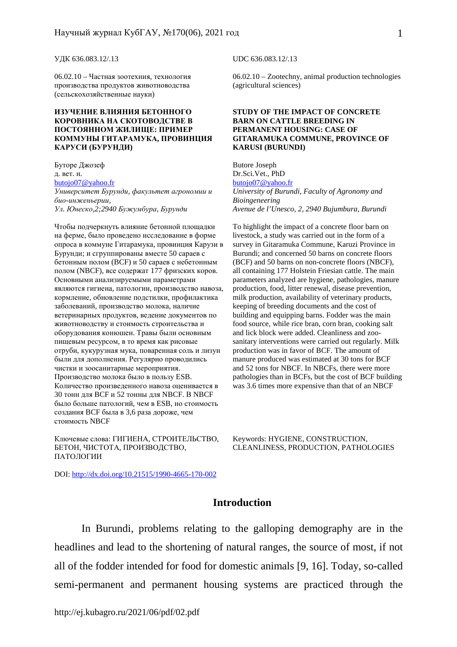#### УДК 636.083.12/.13

06.02.10 – Частная зоотехния, технология производства продуктов животноводства (сельскохозяйственные науки)

#### **ИЗУЧЕНИЕ ВЛИЯНИЯ БЕТОННОГО КОРОВНИКА НА СКОТОВОДСТВЕ В ПОСТОЯННОМ ЖИЛИЩЕ: ПРИМЕР КОММУНЫ ГИТАРАМУКА, ПРОВИНЦИЯ КАРУСИ (БУРУНДИ)**

Буторе Джозеф д. вет. н. butojo07@yahoo.fr *Университет Бурунди, факультет агрономии и био-инженьерии, Ул. Юнеско,2;2940 Бужумбура, Бурунди*

Чтобы подчеркнуть влияние бетонной площадки на ферме, было проведено исследование в форме опроса в коммуне Гитарамука, провинция Карузи в Бурунди; и сгруппированы вместе 50 сараев с бетонным полом (BCF) и 50 сараев с небетонным полом (NBCF), все содержат 177 фризских коров. Основными анализируемыми параметрами являются гигиена, патологии, производство навоза, кормление, обновление подстилки, профилактика заболеваний, производство молока, наличие ветеринарных продуктов, ведение документов по животноводству и стоимость строительства и оборудования конюшен. Травы были основным пищевым ресурсом, в то время как рисовые отруби, кукурузная мука, поваренная соль и лизун были для дополнения. Регулярно проводились чистки и зоосанитарные мероприятия. Производство молока было в пользу ESB. Количество произведенного навоза оценивается в 30 тонн для BCF и 52 тонны для NBCF. В NBCF было больше патологий, чем в ESB, но стоимость создания BCF была в 3,6 раза дороже, чем стоимость NBCF

Ключевые слова: ГИГИЕНА, СТРОИТЕЛЬСТВО, БЕТОН, ЧИСТОТА, ПРОИЗВОДСТВО, ПАТОЛОГИИ

DOI: http://dx.doi.org/10.21515/1990-4665-170-002

UDC 636.083.12/.13

06.02.10 – Zootechny, animal production technologies (agricultural sciences)

#### **STUDY OF THE IMPACT OF CONCRETE BARN ON CATTLE BREEDING IN PERMANENT HOUSING: CASE OF GITARAMUKA COMMUNE, PROVINCE OF KARUSI (BURUNDI)**

Butore Joseph Dr.Sci.Vet., PhD butojo07@yahoo.fr *University of Burundi, Faculty of Agronomy and Bioingeneering Avenue de l'Unesco, 2, 2940 Bujumbura, Burundi* 

To highlight the impact of a concrete floor barn on livestock, a study was carried out in the form of a survey in Gitaramuka Commune, Karuzi Province in Burundi; and concerned 50 barns on concrete floors (BCF) and 50 barns on non-concrete floors (NBCF), all containing 177 Holstein Friesian cattle. The main parameters analyzed are hygiene, pathologies, manure production, food, litter renewal, disease prevention, milk production, availability of veterinary products, keeping of breeding documents and the cost of building and equipping barns. Fodder was the main food source, while rice bran, corn bran, cooking salt and lick block were added. Cleanliness and zoosanitary interventions were carried out regularly. Milk production was in favor of BCF. The amount of manure produced was estimated at 30 tons for BCF and 52 tons for NBCF. In NBCFs, there were more pathologies than in BCFs, but the cost of BCF building was 3.6 times more expensive than that of an NBCF

Keywords: HYGIENE, CONSTRUCTION, CLEANLINESS, PRODUCTION, PATHOLOGIES

# **Introduction**

In Burundi, problems relating to the galloping demography are in the headlines and lead to the shortening of natural ranges, the source of most, if not all of the fodder intended for food for domestic animals [9, 16]. Today, so-called semi-permanent and permanent housing systems are practiced through the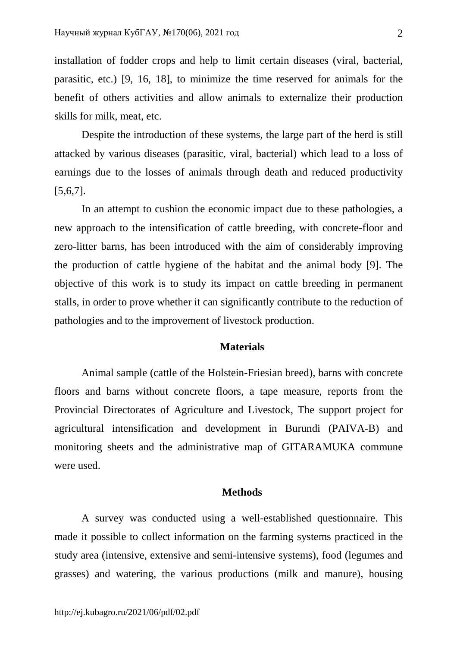installation of fodder crops and help to limit certain diseases (viral, bacterial, parasitic, etc.) [9, 16, 18], to minimize the time reserved for animals for the benefit of others activities and allow animals to externalize their production skills for milk, meat, etc.

Despite the introduction of these systems, the large part of the herd is still attacked by various diseases (parasitic, viral, bacterial) which lead to a loss of earnings due to the losses of animals through death and reduced productivity [5,6,7].

In an attempt to cushion the economic impact due to these pathologies, a new approach to the intensification of cattle breeding, with concrete-floor and zero-litter barns, has been introduced with the aim of considerably improving the production of cattle hygiene of the habitat and the animal body [9]. The objective of this work is to study its impact on cattle breeding in permanent stalls, in order to prove whether it can significantly contribute to the reduction of pathologies and to the improvement of livestock production.

# **Materials**

Animal sample (cattle of the Holstein-Friesian breed), barns with concrete floors and barns without concrete floors, a tape measure, reports from the Provincial Directorates of Agriculture and Livestock, The support project for agricultural intensification and development in Burundi (PAIVA-B) and monitoring sheets and the administrative map of GITARAMUKA commune were used.

## **Methods**

A survey was conducted using a well-established questionnaire. This made it possible to collect information on the farming systems practiced in the study area (intensive, extensive and semi-intensive systems), food (legumes and grasses) and watering, the various productions (milk and manure), housing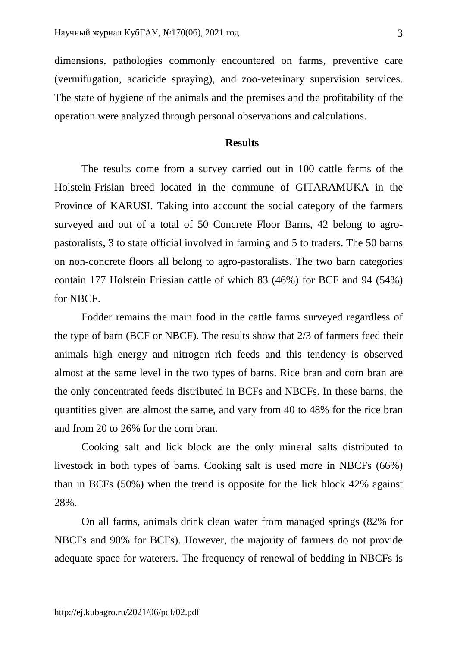dimensions, pathologies commonly encountered on farms, preventive care (vermifugation, acaricide spraying), and zoo-veterinary supervision services. The state of hygiene of the animals and the premises and the profitability of the operation were analyzed through personal observations and calculations.

# **Results**

The results come from a survey carried out in 100 cattle farms of the Holstein-Frisian breed located in the commune of GITARAMUKA in the Province of KARUSI. Taking into account the social category of the farmers surveyed and out of a total of 50 Concrete Floor Barns, 42 belong to agropastoralists, 3 to state official involved in farming and 5 to traders. The 50 barns on non-concrete floors all belong to agro-pastoralists. The two barn categories contain 177 Holstein Friesian cattle of which 83 (46%) for BCF and 94 (54%) for NBCF.

Fodder remains the main food in the cattle farms surveyed regardless of the type of barn (BCF or NBCF). The results show that 2/3 of farmers feed their animals high energy and nitrogen rich feeds and this tendency is observed almost at the same level in the two types of barns. Rice bran and corn bran are the only concentrated feeds distributed in BCFs and NBCFs. In these barns, the quantities given are almost the same, and vary from 40 to 48% for the rice bran and from 20 to 26% for the corn bran.

Cooking salt and lick block are the only mineral salts distributed to livestock in both types of barns. Cooking salt is used more in NBCFs (66%) than in BCFs (50%) when the trend is opposite for the lick block 42% against 28%.

On all farms, animals drink clean water from managed springs (82% for NBCFs and 90% for BCFs). However, the majority of farmers do not provide adequate space for waterers. The frequency of renewal of bedding in NBCFs is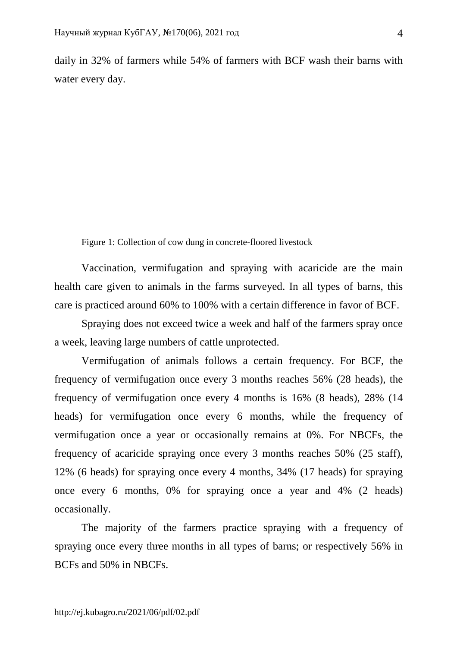daily in 32% of farmers while 54% of farmers with BCF wash their barns with water every day.

Figure 1: Collection of cow dung in concrete-floored livestock

Vaccination, vermifugation and spraying with acaricide are the main health care given to animals in the farms surveyed. In all types of barns, this care is practiced around 60% to 100% with a certain difference in favor of BCF.

Spraying does not exceed twice a week and half of the farmers spray once a week, leaving large numbers of cattle unprotected.

Vermifugation of animals follows a certain frequency. For BCF, the frequency of vermifugation once every 3 months reaches 56% (28 heads), the frequency of vermifugation once every 4 months is 16% (8 heads), 28% (14 heads) for vermifugation once every 6 months, while the frequency of vermifugation once a year or occasionally remains at 0%. For NBCFs, the frequency of acaricide spraying once every 3 months reaches 50% (25 staff), 12% (6 heads) for spraying once every 4 months, 34% (17 heads) for spraying once every 6 months, 0% for spraying once a year and 4% (2 heads) occasionally.

The majority of the farmers practice spraying with a frequency of spraying once every three months in all types of barns; or respectively 56% in BCFs and 50% in NBCFs.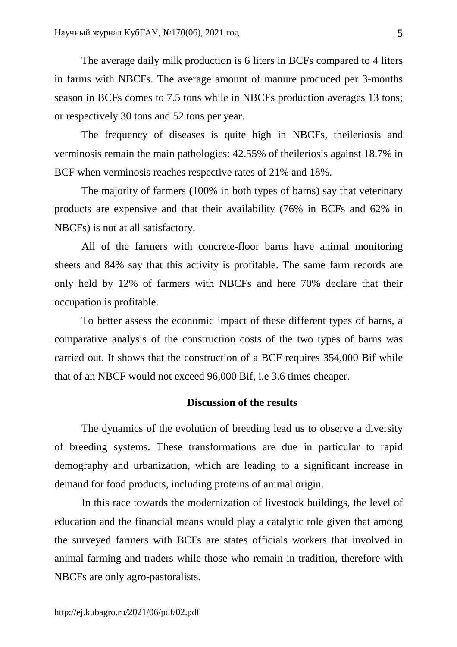The average daily milk production is 6 liters in BCFs compared to 4 liters in farms with NBCFs. The average amount of manure produced per 3-months season in BCFs comes to 7.5 tons while in NBCFs production averages 13 tons; or respectively 30 tons and 52 tons per year.

The frequency of diseases is quite high in NBCFs, theileriosis and verminosis remain the main pathologies: 42.55% of theileriosis against 18.7% in BCF when verminosis reaches respective rates of 21% and 18%.

The majority of farmers (100% in both types of barns) say that veterinary products are expensive and that their availability (76% in BCFs and 62% in NBCFs) is not at all satisfactory.

All of the farmers with concrete-floor barns have animal monitoring sheets and 84% say that this activity is profitable. The same farm records are only held by 12% of farmers with NBCFs and here 70% declare that their occupation is profitable.

To better assess the economic impact of these different types of barns, a comparative analysis of the construction costs of the two types of barns was carried out. It shows that the construction of a BCF requires 354,000 Bif while that of an NBCF would not exceed 96,000 Bif, i.e 3.6 times cheaper.

# **Discussion of the results**

The dynamics of the evolution of breeding lead us to observe a diversity of breeding systems. These transformations are due in particular to rapid demography and urbanization, which are leading to a significant increase in demand for food products, including proteins of animal origin.

In this race towards the modernization of livestock buildings, the level of education and the financial means would play a catalytic role given that among the surveyed farmers with BCFs are states officials workers that involved in animal farming and traders while those who remain in tradition, therefore with NBCFs are only agro-pastoralists.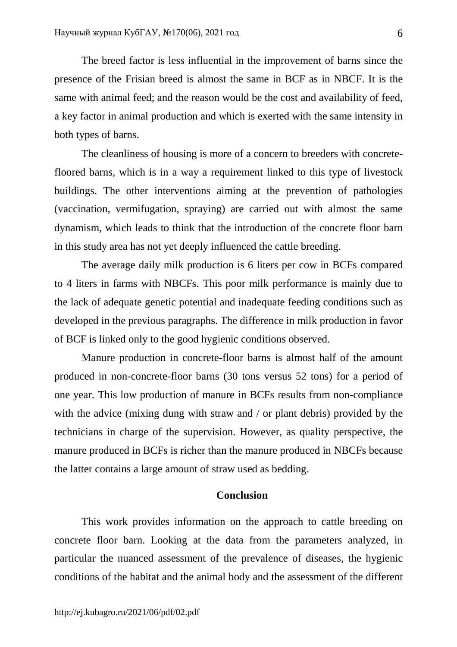The breed factor is less influential in the improvement of barns since the presence of the Frisian breed is almost the same in BCF as in NBCF. It is the same with animal feed; and the reason would be the cost and availability of feed, a key factor in animal production and which is exerted with the same intensity in both types of barns.

The cleanliness of housing is more of a concern to breeders with concretefloored barns, which is in a way a requirement linked to this type of livestock buildings. The other interventions aiming at the prevention of pathologies (vaccination, vermifugation, spraying) are carried out with almost the same dynamism, which leads to think that the introduction of the concrete floor barn in this study area has not yet deeply influenced the cattle breeding.

The average daily milk production is 6 liters per cow in BCFs compared to 4 liters in farms with NBCFs. This poor milk performance is mainly due to the lack of adequate genetic potential and inadequate feeding conditions such as developed in the previous paragraphs. The difference in milk production in favor of BCF is linked only to the good hygienic conditions observed.

Manure production in concrete-floor barns is almost half of the amount produced in non-concrete-floor barns (30 tons versus 52 tons) for a period of one year. This low production of manure in BCFs results from non-compliance with the advice (mixing dung with straw and / or plant debris) provided by the technicians in charge of the supervision. However, as quality perspective, the manure produced in BCFs is richer than the manure produced in NBCFs because the latter contains a large amount of straw used as bedding.

## **Conclusion**

This work provides information on the approach to cattle breeding on concrete floor barn. Looking at the data from the parameters analyzed, in particular the nuanced assessment of the prevalence of diseases, the hygienic conditions of the habitat and the animal body and the assessment of the different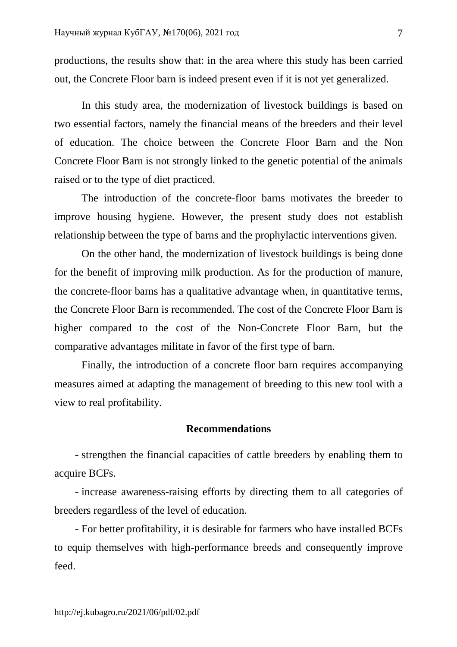productions, the results show that: in the area where this study has been carried out, the Concrete Floor barn is indeed present even if it is not yet generalized.

In this study area, the modernization of livestock buildings is based on two essential factors, namely the financial means of the breeders and their level of education. The choice between the Concrete Floor Barn and the Non Concrete Floor Barn is not strongly linked to the genetic potential of the animals raised or to the type of diet practiced.

The introduction of the concrete-floor barns motivates the breeder to improve housing hygiene. However, the present study does not establish relationship between the type of barns and the prophylactic interventions given.

On the other hand, the modernization of livestock buildings is being done for the benefit of improving milk production. As for the production of manure, the concrete-floor barns has a qualitative advantage when, in quantitative terms, the Concrete Floor Barn is recommended. The cost of the Concrete Floor Barn is higher compared to the cost of the Non-Concrete Floor Barn, but the comparative advantages militate in favor of the first type of barn.

Finally, the introduction of a concrete floor barn requires accompanying measures aimed at adapting the management of breeding to this new tool with a view to real profitability.

# **Recommendations**

- strengthen the financial capacities of cattle breeders by enabling them to acquire BCFs.

- increase awareness-raising efforts by directing them to all categories of breeders regardless of the level of education.

- For better profitability, it is desirable for farmers who have installed BCFs to equip themselves with high-performance breeds and consequently improve feed.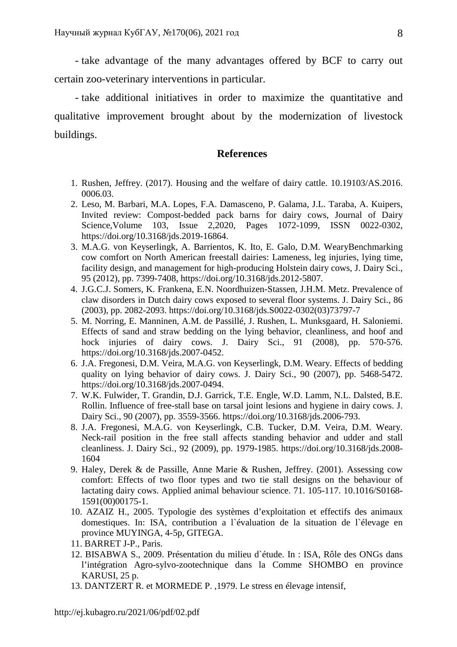- take advantage of the many advantages offered by BCF to carry out certain zoo-veterinary interventions in particular.

- take additional initiatives in order to maximize the quantitative and qualitative improvement brought about by the modernization of livestock buildings.

### **References**

- 1. Rushen, Jeffrey. (2017). Housing and the welfare of dairy cattle. 10.19103/AS.2016. 0006.03.
- 2. Leso, M. Barbari, M.A. Lopes, F.A. Damasceno, P. Galama, J.L. Taraba, A. Kuipers, Invited review: Compost-bedded pack barns for dairy cows, Journal of Dairy Science,Volume 103, Issue 2,2020, Pages 1072-1099, ISSN 0022-0302, https://doi.org/10.3168/jds.2019-16864.
- 3. M.A.G. von Keyserlingk, A. Barrientos, K. Ito, E. Galo, D.M. WearyBenchmarking cow comfort on North American freestall dairies: Lameness, leg injuries, lying time, facility design, and management for high-producing Holstein dairy cows, J. Dairy Sci., 95 (2012), pp. 7399-7408, https://doi.org/10.3168/jds.2012-5807.
- 4. J.G.C.J. Somers, K. Frankena, E.N. Noordhuizen-Stassen, J.H.M. Metz. Prevalence of claw disorders in Dutch dairy cows exposed to several floor systems. J. Dairy Sci., 86 (2003), pp. 2082-2093. https://doi.org/10.3168/jds.S0022-0302(03)73797-7
- 5. M. Norring, E. Manninen, A.M. de Passillé, J. Rushen, L. Munksgaard, H. Saloniemi. Effects of sand and straw bedding on the lying behavior, cleanliness, and hoof and hock injuries of dairy cows. J. Dairy Sci., 91 (2008), pp. 570-576. https://doi.org/10.3168/jds.2007-0452.
- 6. J.A. Fregonesi, D.M. Veira, M.A.G. von Keyserlingk, D.M. Weary. Effects of bedding quality on lying behavior of dairy cows. J. Dairy Sci., 90 (2007), pp. 5468-5472. https://doi.org/10.3168/jds.2007-0494.
- 7. W.K. Fulwider, T. Grandin, D.J. Garrick, T.E. Engle, W.D. Lamm, N.L. Dalsted, B.E. Rollin. Influence of free-stall base on tarsal joint lesions and hygiene in dairy cows. J. Dairy Sci., 90 (2007), pp. 3559-3566. https://doi.org/10.3168/jds.2006-793.
- 8. J.A. Fregonesi, M.A.G. von Keyserlingk, C.B. Tucker, D.M. Veira, D.M. Weary. Neck-rail position in the free stall affects standing behavior and udder and stall cleanliness. J. Dairy Sci., 92 (2009), pp. 1979-1985. https://doi.org/10.3168/jds.2008- 1604
- 9. Haley, Derek & de Passille, Anne Marie & Rushen, Jeffrey. (2001). Assessing cow comfort: Effects of two floor types and two tie stall designs on the behaviour of lactating dairy cows. Applied animal behaviour science. 71. 105-117. 10.1016/S0168- 1591(00)00175-1.
- 10. AZAIZ H., 2005. Typologie des systèmes d'exploitation et effectifs des animaux domestiques. In: ISA, contribution a l`évaluation de la situation de l`élevage en province MUYINGA, 4-5p, GITEGA.
- 11. BARRET J-P., Paris.
- 12. BISABWA S., 2009. Présentation du milieu d`étude. In : ISA, Rôle des ONGs dans l'intégration Agro-sylvo-zootechnique dans la Comme SHOMBO en province KARUSI, 25 p.
- 13. DANTZERT R. et MORMEDE P. ,1979. Le stress en élevage intensif,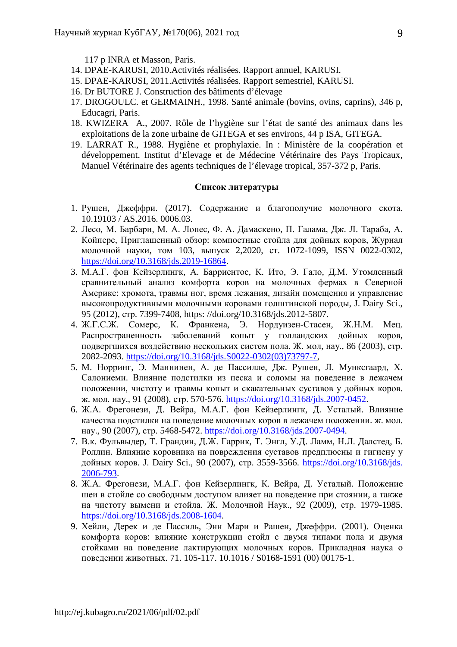117 p INRA et Masson, Paris.

- 14. DPAE-KARUSI, 2010.Activités réalisées. Rapport annuel, KARUSI.
- 15. DPAE-KARUSI, 2011.Activités réalisées. Rapport semestriel, KARUSI.
- 16. Dr BUTORE J. Construction des bâtiments d'élevage
- 17. DROGOULC. et GERMAINH., 1998. Santé animale (bovins, ovins, caprins), 346 p, Educagri, Paris.
- 18. KWIZERA A., 2007. Rôle de l'hygiène sur l'état de santé des animaux dans les exploitations de la zone urbaine de GITEGA et ses environs, 44 p ISA, GITEGA.
- 19. LARRAT R., 1988. Hygiène et prophylaxie. In : Ministère de la coopération et développement. Institut d'Elevage et de Médecine Vétérinaire des Pays Tropicaux, Manuel Vétérinaire des agents techniques de l'élevage tropical, 357-372 p, Paris.

### **Список литературы**

- 1. Рушен, Джеффри. (2017). Содержание и благополучие молочного скота. 10.19103 / AS.2016. 0006.03.
- 2. Лесо, М. Барбари, М. А. Лопес, Ф. А. Дамаскено, П. Галама, Дж. Л. Тараба, А. Койперс, Приглашенный обзор: компостные стойла для дойных коров, Журнал молочной науки, том 103, выпуск 2,2020, ст. 1072-1099, ISSN 0022-0302, https://doi.org/10.3168/jds.2019-16864.
- 3. М.А.Г. фон Кейзерлингк, А. Барриентос, К. Ито, Э. Гало, Д.М. Утомленный сравнительный анализ комфорта коров на молочных фермах в Северной Америке: хромота, травмы ног, время лежания, дизайн помещения и управление высокопродуктивными молочными коровами голштинской породы, J. Dairy Sci., 95 (2012), стр. 7399-7408, https: //doi.org/10.3168/jds.2012-5807.
- 4. Ж.Г.С.Ж. Сомерс, К. Франкена, Э. Нордуизен-Стасен, Ж.Н.М. Мец. Распространенность заболеваний копыт у голландских дойных коров, подвергшихся воздействию нескольких систем пола. Ж. мол, нау., 86 (2003), стр. 2082-2093. https://doi.org/10.3168/jds.S0022-0302(03)73797-7,
- 5. М. Норринг, Э. Маннинен, А. де Пассилле, Дж. Рушен, Л. Мунксгаард, Х. Салониеми. Влияние подстилки из песка и соломы на поведение в лежачем положении, чистоту и травмы копыт и скакательных суставов у дойных коров. ж. мол. нау., 91 (2008), стр. 570-576. https://doi.org/10.3168/jds.2007-0452.
- 6. Ж.А. Фрегонези, Д. Вейра, М.А.Г. фон Кейзерлингк, Д. Усталый. Влияние качества подстилки на поведение молочных коров в лежачем положении. ж. мол. нау., 90 (2007), стр. 5468-5472. https://doi.org/10.3168/jds.2007-0494.
- 7. В.к. Фульвыдер, Т. Грандин, Д.Ж. Гаррик, Т. Энгл, У.Д. Ламм, Н.Л. Далстед, Б. Роллин. Влияние коровника на повреждения суставов предплюсны и гигиену у дойных коров. J. Dairy Sci., 90 (2007), стр. 3559-3566. https://doi.org/10.3168/jds. 2006-793.
- 8. Ж.А. Фрегонези, М.А.Г. фон Кейзерлингк, К. Вейра, Д. Усталый. Положение шеи в стойле со свободным доступом влияет на поведение при стоянии, а также на чистоту вымени и стойла. Ж. Молочной Наук., 92 (2009), стр. 1979-1985. https://doi.org/10.3168/jds.2008-1604.
- 9. Хейли, Дерек и де Пассиль, Энн Мари и Рашен, Джеффри. (2001). Оценка комфорта коров: влияние конструкции стойл с двумя типами пола и двумя стойками на поведение лактирующих молочных коров. Прикладная наука о поведении животных. 71. 105-117. 10.1016 / S0168-1591 (00) 00175-1.